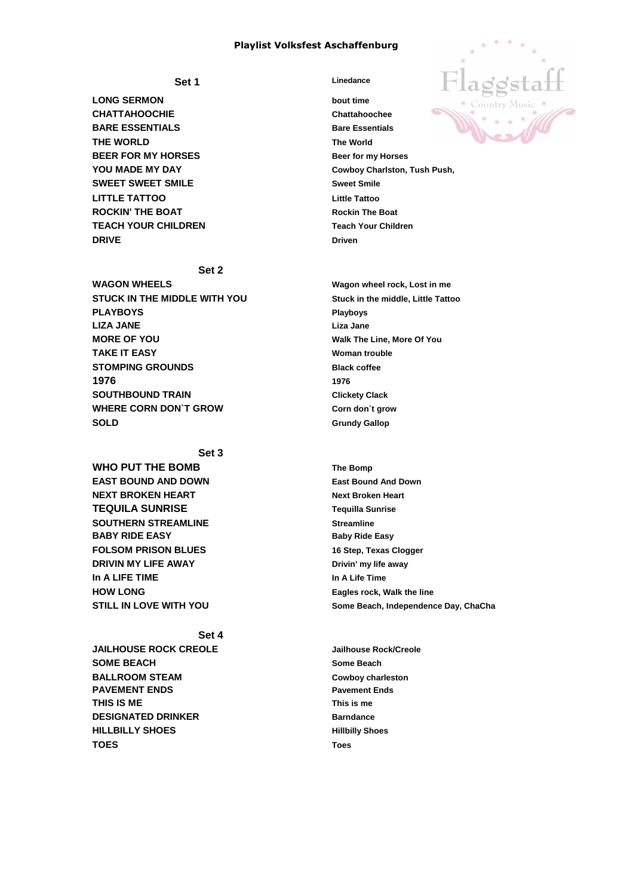## **Playlist Volksfest Aschaffenburg**

 **Set 1 Linedance** 

**LONG SERMON bout time CHATTAHOOCHIE Chattahoochee BARE ESSENTIALS BARE ESSENTIALS THE WORLD The World BEER FOR MY HORSES** Beer for my Horses **YOU MADE MY DAY Cowboy Charlston, Tush Push, SWEET SWEET SMILE Sweet Smile LITTLE TATTOO Little Tattoo ROCKIN' THE BOAT ROCKIN' THE BOAT TEACH YOUR CHILDREN Teach Your Children DRIVE** DRIVE

**WAGON WHEELS Wagon wheel rock, Lost in me STUCK IN THE MIDDLE WITH YOU Stuck in the middle, Little Tattoo PLAYBOYS Playboys LIZA JANE Liza Jane MORE OF YOU**  Walk The Line, More Of You **TAKE IT EASY WOMAN TAKE IT EASY STOMPING GROUNDS** Black coffee **1976 1976 SOUTHBOUND TRAIN Clickety Clack WHERE CORN DON`T GROW Corn don`t grow SOLD Grundy Gallop** 



**Set 3 WHO PUT THE BOMB** The Bomp

## **Set 2**

**EAST BOUND AND DOWN East Bound And Down NEXT BROKEN HEART NEXT BROKEN HEART NEXT BROKEN** HEART **TEQUILA SUNRISE Tequilla Sunrise SOUTHERN STREAMLINE** Streamline **BABY RIDE EASY Baby Ride Easy FOLSOM PRISON BLUES 16 Step, Texas Clogger DRIVIN MY LIFE AWAY DRIVIN MY LIFE AWAY In A LIFE TIME In A Life Time HOW LONG Eagles rock, Walk the line**

**STILL IN LOVE WITH YOU Some Beach, Independence Day, ChaCha**

**Set 4 JAILHOUSE ROCK CREOLE Jailhouse Rock/Creole SOME BEACH** SOME BEACH **BALLROOM STEAM Cowboy charleston PAVEMENT ENDS Pavement Ends THIS IS ME This is me DESIGNATED DRINKER** Barndance **HILLBILLY SHOES Hillbilly Shoes TOES Toes**